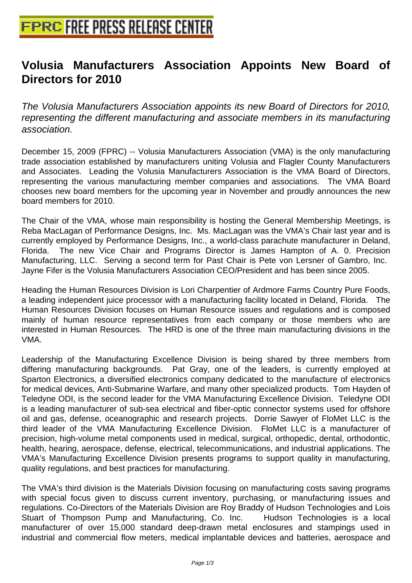## **[Volusia Manufacturers Associat](http://www.free-press-release-center.info)ion Appoints New Board of Directors for 2010**

The Volusia Manufacturers Association appoints its new Board of Directors for 2010, representing the different manufacturing and associate members in its manufacturing association.

December 15, 2009 (FPRC) -- Volusia Manufacturers Association (VMA) is the only manufacturing trade association established by manufacturers uniting Volusia and Flagler County Manufacturers and Associates. Leading the Volusia Manufacturers Association is the VMA Board of Directors, representing the various manufacturing member companies and associations. The VMA Board chooses new board members for the upcoming year in November and proudly announces the new board members for 2010.

The Chair of the VMA, whose main responsibility is hosting the General Membership Meetings, is Reba MacLagan of Performance Designs, Inc. Ms. MacLagan was the VMA's Chair last year and is currently employed by Performance Designs, Inc., a world-class parachute manufacturer in Deland, Florida. The new Vice Chair and Programs Director is James Hampton of A. 0. Precision Manufacturing, LLC. Serving a second term for Past Chair is Pete von Lersner of Gambro, Inc. Jayne Fifer is the Volusia Manufacturers Association CEO/President and has been since 2005.

Heading the Human Resources Division is Lori Charpentier of Ardmore Farms Country Pure Foods, a leading independent juice processor with a manufacturing facility located in Deland, Florida. The Human Resources Division focuses on Human Resource issues and regulations and is composed mainly of human resource representatives from each company or those members who are interested in Human Resources. The HRD is one of the three main manufacturing divisions in the VMA.

Leadership of the Manufacturing Excellence Division is being shared by three members from differing manufacturing backgrounds. Pat Gray, one of the leaders, is currently employed at Sparton Electronics, a diversified electronics company dedicated to the manufacture of electronics for medical devices, Anti-Submarine Warfare, and many other specialized products. Tom Hayden of Teledyne ODI, is the second leader for the VMA Manufacturing Excellence Division. Teledyne ODI is a leading manufacturer of sub-sea electrical and fiber-optic connector systems used for offshore oil and gas, defense, oceanographic and research projects. Dorrie Sawyer of FloMet LLC is the third leader of the VMA Manufacturing Excellence Division. FloMet LLC is a manufacturer of precision, high-volume metal components used in medical, surgical, orthopedic, dental, orthodontic, health, hearing, aerospace, defense, electrical, telecommunications, and industrial applications. The VMA's Manufacturing Excellence Division presents programs to support quality in manufacturing, quality regulations, and best practices for manufacturing.

The VMA's third division is the Materials Division focusing on manufacturing costs saving programs with special focus given to discuss current inventory, purchasing, or manufacturing issues and regulations. Co-Directors of the Materials Division are Roy Braddy of Hudson Technologies and Lois Stuart of Thompson Pump and Manufacturing, Co. Inc. Hudson Technologies is a local manufacturer of over 15,000 standard deep-drawn metal enclosures and stampings used in industrial and commercial flow meters, medical implantable devices and batteries, aerospace and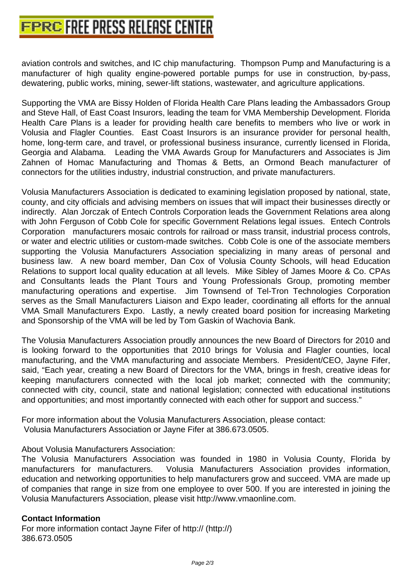[aviation controls and switches, and IC chip manufact](http://www.free-press-release-center.info)uring. Thompson Pump and Manufacturing is a manufacturer of high quality engine-powered portable pumps for use in construction, by-pass, dewatering, public works, mining, sewer-lift stations, wastewater, and agriculture applications.

Supporting the VMA are Bissy Holden of Florida Health Care Plans leading the Ambassadors Group and Steve Hall, of East Coast Insurors, leading the team for VMA Membership Development. Florida Health Care Plans is a leader for providing health care benefits to members who live or work in Volusia and Flagler Counties. East Coast Insurors is an insurance provider for personal health, home, long-term care, and travel, or professional business insurance, currently licensed in Florida, Georgia and Alabama. Leading the VMA Awards Group for Manufacturers and Associates is Jim Zahnen of Homac Manufacturing and Thomas & Betts, an Ormond Beach manufacturer of connectors for the utilities industry, industrial construction, and private manufacturers.

Volusia Manufacturers Association is dedicated to examining legislation proposed by national, state, county, and city officials and advising members on issues that will impact their businesses directly or indirectly. Alan Jorczak of Entech Controls Corporation leads the Government Relations area along with John Ferguson of Cobb Cole for specific Government Relations legal issues. Entech Controls Corporation manufacturers mosaic controls for railroad or mass transit, industrial process controls, or water and electric utilities or custom-made switches. Cobb Cole is one of the associate members supporting the Volusia Manufacturers Association specializing in many areas of personal and business law. A new board member, Dan Cox of Volusia County Schools, will head Education Relations to support local quality education at all levels. Mike Sibley of James Moore & Co. CPAs and Consultants leads the Plant Tours and Young Professionals Group, promoting member manufacturing operations and expertise. Jim Townsend of Tel-Tron Technologies Corporation serves as the Small Manufacturers Liaison and Expo leader, coordinating all efforts for the annual VMA Small Manufacturers Expo. Lastly, a newly created board position for increasing Marketing and Sponsorship of the VMA will be led by Tom Gaskin of Wachovia Bank.

The Volusia Manufacturers Association proudly announces the new Board of Directors for 2010 and is looking forward to the opportunities that 2010 brings for Volusia and Flagler counties, local manufacturing, and the VMA manufacturing and associate Members. President/CEO, Jayne Fifer, said, "Each year, creating a new Board of Directors for the VMA, brings in fresh, creative ideas for keeping manufacturers connected with the local job market; connected with the community; connected with city, council, state and national legislation; connected with educational institutions and opportunities; and most importantly connected with each other for support and success."

For more information about the Volusia Manufacturers Association, please contact: Volusia Manufacturers Association or Jayne Fifer at 386.673.0505.

About Volusia Manufacturers Association:

The Volusia Manufacturers Association was founded in 1980 in Volusia County, Florida by manufacturers for manufacturers. Volusia Manufacturers Association provides information, education and networking opportunities to help manufacturers grow and succeed. VMA are made up of companies that range in size from one employee to over 500. If you are interested in joining the Volusia Manufacturers Association, please visit http://www.vmaonline.com.

## **Contact Information**

For more information contact Jayne Fifer of http:// (http://) 386.673.0505